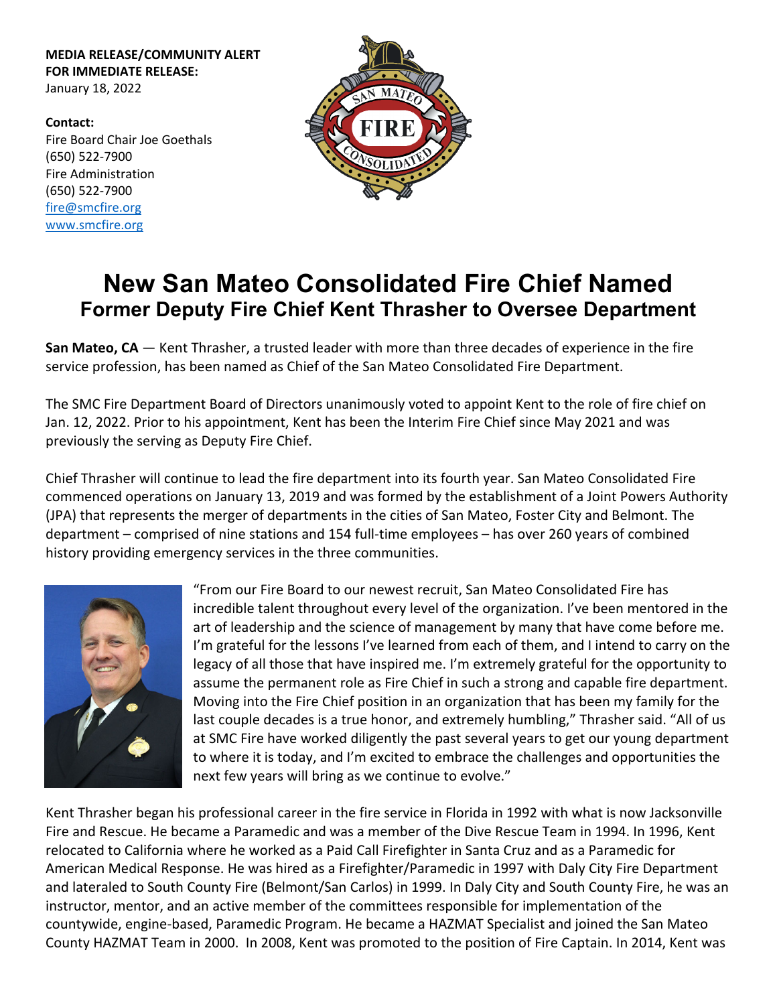**MEDIA RELEASE/COMMUNITY ALERT FOR IMMEDIATE RELEASE:** January 18, 2022

**Contact:** Fire Board Chair Joe Goethals (650) 522‐7900 Fire Administration (650) 522‐7900 fire@smcfire.org www.smcfire.org



## **New San Mateo Consolidated Fire Chief Named Former Deputy Fire Chief Kent Thrasher to Oversee Department**

**San Mateo, CA** — Kent Thrasher, a trusted leader with more than three decades of experience in the fire service profession, has been named as Chief of the San Mateo Consolidated Fire Department.

The SMC Fire Department Board of Directors unanimously voted to appoint Kent to the role of fire chief on Jan. 12, 2022. Prior to his appointment, Kent has been the Interim Fire Chief since May 2021 and was previously the serving as Deputy Fire Chief.

Chief Thrasher will continue to lead the fire department into its fourth year. San Mateo Consolidated Fire commenced operations on January 13, 2019 and was formed by the establishment of a Joint Powers Authority (JPA) that represents the merger of departments in the cities of San Mateo, Foster City and Belmont. The department – comprised of nine stations and 154 full-time employees – has over 260 years of combined history providing emergency services in the three communities.



"From our Fire Board to our newest recruit, San Mateo Consolidated Fire has incredible talent throughout every level of the organization. I've been mentored in the art of leadership and the science of management by many that have come before me. I'm grateful for the lessons I've learned from each of them, and I intend to carry on the legacy of all those that have inspired me. I'm extremely grateful for the opportunity to assume the permanent role as Fire Chief in such a strong and capable fire department. Moving into the Fire Chief position in an organization that has been my family for the last couple decades is a true honor, and extremely humbling," Thrasher said. "All of us at SMC Fire have worked diligently the past several years to get our young department to where it is today, and I'm excited to embrace the challenges and opportunities the next few years will bring as we continue to evolve."

Kent Thrasher began his professional career in the fire service in Florida in 1992 with what is now Jacksonville Fire and Rescue. He became a Paramedic and was a member of the Dive Rescue Team in 1994. In 1996, Kent relocated to California where he worked as a Paid Call Firefighter in Santa Cruz and as a Paramedic for American Medical Response. He was hired as a Firefighter/Paramedic in 1997 with Daly City Fire Department and lateraled to South County Fire (Belmont/San Carlos) in 1999. In Daly City and South County Fire, he was an instructor, mentor, and an active member of the committees responsible for implementation of the countywide, engine‐based, Paramedic Program. He became a HAZMAT Specialist and joined the San Mateo County HAZMAT Team in 2000. In 2008, Kent was promoted to the position of Fire Captain. In 2014, Kent was